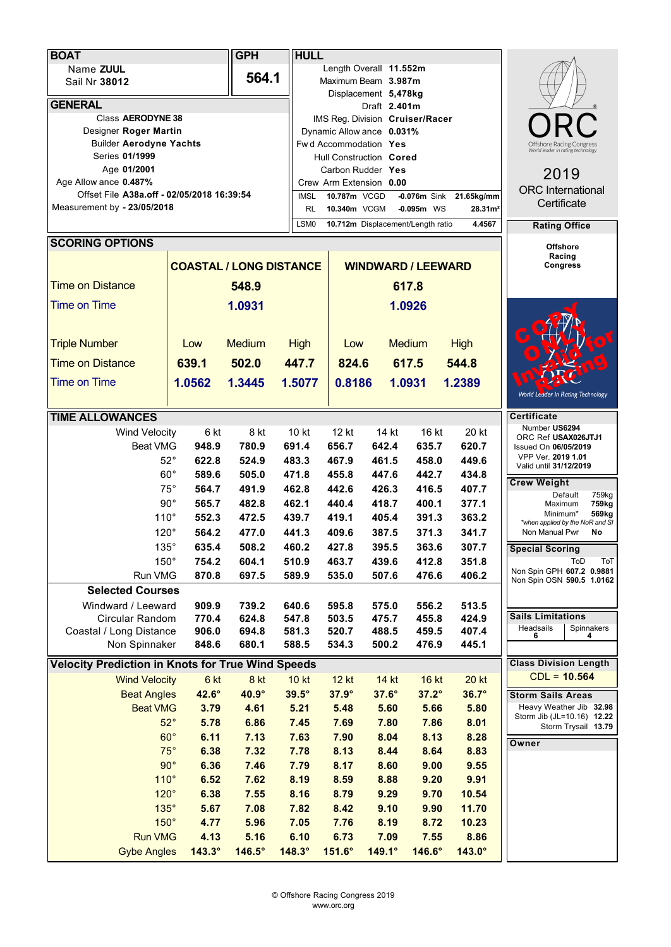| <b>BOAT</b>                                              |                                | <b>GPH</b>     | <b>HULL</b>                                        |                                   |                           |                              |               |                                                        |
|----------------------------------------------------------|--------------------------------|----------------|----------------------------------------------------|-----------------------------------|---------------------------|------------------------------|---------------|--------------------------------------------------------|
| Name ZUUL                                                |                                |                |                                                    | Length Overall 11.552m            |                           |                              |               |                                                        |
| Sail Nr 38012                                            |                                | 564.1          |                                                    | Maximum Beam 3.987m               |                           |                              |               |                                                        |
|                                                          |                                |                |                                                    | Displacement 5,478kg              |                           |                              |               |                                                        |
| <b>GENERAL</b><br>Class AERODYNE 38                      |                                |                |                                                    |                                   | Draft 2.401m              |                              |               |                                                        |
| Designer Roger Martin                                    |                                |                |                                                    | IMS Reg. Division Cruiser/Racer   |                           |                              |               |                                                        |
| <b>Builder Aerodyne Yachts</b>                           |                                |                | Dynamic Allow ance 0.031%<br>Fwd Accommodation Yes |                                   |                           |                              |               | Offshore Racing Congres                                |
| Series 01/1999                                           |                                |                |                                                    | Hull Construction Cored           |                           |                              |               | World leader in rating technology                      |
| Age 01/2001                                              |                                |                | Carbon Rudder Yes                                  |                                   |                           |                              |               |                                                        |
| Age Allow ance 0.487%                                    |                                |                |                                                    | Crew Arm Extension 0.00           |                           | 2019                         |               |                                                        |
| Offset File A38a.off - 02/05/2018 16:39:54               |                                |                | <b>IMSL</b>                                        | 10.787m VCGD                      | <b>ORC</b> International  |                              |               |                                                        |
| Measurement by - 23/05/2018                              |                                | <b>RL</b>      | 10.340m VCGM                                       | $-0.095m$ WS                      | 28.31 <sup>2</sup>        | Certificate                  |               |                                                        |
|                                                          |                                |                | LSM <sub>0</sub>                                   | 10.712m Displacement/Length ratio |                           | <b>Rating Office</b>         |               |                                                        |
| <b>SCORING OPTIONS</b>                                   |                                |                |                                                    |                                   |                           |                              |               |                                                        |
|                                                          |                                |                |                                                    |                                   |                           | <b>Offshore</b><br>Racing    |               |                                                        |
|                                                          | <b>COASTAL / LONG DISTANCE</b> |                |                                                    |                                   | <b>WINDWARD / LEEWARD</b> | <b>Congress</b>              |               |                                                        |
| <b>Time on Distance</b><br>548.9                         |                                |                |                                                    |                                   | 617.8                     |                              |               |                                                        |
| <b>Time on Time</b>                                      | 1.0931                         |                |                                                    |                                   | 1.0926                    |                              |               |                                                        |
|                                                          |                                |                |                                                    |                                   |                           |                              |               |                                                        |
| <b>Triple Number</b>                                     | Low                            | <b>Medium</b>  | <b>High</b>                                        | Low                               |                           | <b>Medium</b>                | <b>High</b>   |                                                        |
| <b>Time on Distance</b>                                  | 639.1                          | 502.0          | 447.7                                              | 824.6                             |                           | 617.5                        | 544.8         |                                                        |
|                                                          |                                |                |                                                    |                                   |                           |                              |               |                                                        |
| <b>Time on Time</b>                                      | 1.0562                         | 1.3445         | 1.5077                                             | 0.8186                            |                           | 1.0931                       | 1.2389        | World Leader In Rating Technology                      |
|                                                          |                                |                |                                                    |                                   |                           |                              |               |                                                        |
| <b>TIME ALLOWANCES</b>                                   |                                |                |                                                    |                                   |                           |                              |               | <b>Certificate</b>                                     |
| <b>Wind Velocity</b>                                     | 6 kt                           | 8 kt           | 10 kt                                              | 12 kt                             | 14 kt                     | 16 kt                        | 20 kt         | Number US6294<br>ORC Ref USAX026JTJ1                   |
| <b>Beat VMG</b>                                          | 948.9                          | 780.9          | 691.4                                              | 656.7                             | 642.4                     | 635.7                        | 620.7         | Issued On 06/05/2019                                   |
|                                                          | $52^{\circ}$<br>622.8          | 524.9          | 483.3                                              | 467.9                             | 461.5                     | 458.0                        | 449.6         | VPP Ver. 2019 1.01<br>Valid until 31/12/2019           |
|                                                          | $60^{\circ}$<br>589.6          | 505.0          | 471.8                                              | 455.8                             | 447.6                     | 442.7                        | 434.8         |                                                        |
|                                                          | $75^{\circ}$<br>564.7          | 491.9          | 462.8                                              | 442.6                             | 426.3                     | 416.5                        | 407.7         | <b>Crew Weight</b><br>Default<br>759kg                 |
|                                                          | $90^{\circ}$<br>565.7          | 482.8          | 462.1                                              | 440.4                             | 418.7                     | 400.1                        | 377.1         | 759kg<br>Maximum                                       |
| $110^\circ$                                              | 552.3                          | 472.5          | 439.7                                              | 419.1                             | 405.4                     | 391.3                        | 363.2         | Minimum*<br>569kg<br>*when applied by the NoR and SI   |
| $120^\circ$                                              | 564.2                          | 477.0          | 441.3                                              | 409.6                             | 387.5                     | 371.3                        | 341.7         | Non Manual Pwr<br>No                                   |
| 135°                                                     | 635.4                          | 508.2          | 460.2                                              | 427.8                             | 395.5                     | 363.6                        | 307.7         | <b>Special Scoring</b>                                 |
| $150^\circ$                                              | 754.2                          | 604.1          | 510.9                                              | 463.7                             | 439.6                     | 412.8                        | 351.8         | ToD<br>ToT                                             |
| Run VMG                                                  | 870.8                          | 697.5          | 589.9                                              | 535.0                             | 507.6                     | 476.6                        | 406.2         | Non Spin GPH 607.2 0.9881<br>Non Spin OSN 590.5 1.0162 |
| <b>Selected Courses</b>                                  |                                |                |                                                    |                                   |                           |                              |               |                                                        |
|                                                          | Windward / Leeward<br>909.9    |                | 640.6                                              | 595.8                             | 575.0                     | 556.2                        | 513.5         |                                                        |
| Circular Random                                          | 770.4                          | 739.2<br>624.8 | 547.8                                              | 503.5                             | 475.7                     | 455.8                        | 424.9         | <b>Sails Limitations</b>                               |
| Coastal / Long Distance                                  | 906.0                          | 694.8          | 581.3                                              | 520.7                             | 488.5                     | 459.5                        | 407.4         | Headsails<br>Spinnakers<br>6<br>4                      |
| Non Spinnaker                                            | 848.6                          | 680.1          | 588.5                                              | 534.3                             | 500.2                     | 476.9                        | 445.1         |                                                        |
| <b>Velocity Prediction in Knots for True Wind Speeds</b> |                                |                |                                                    |                                   |                           | <b>Class Division Length</b> |               |                                                        |
| <b>Wind Velocity</b>                                     | 6 kt                           | 8 kt           | <b>10 kt</b>                                       | <b>12 kt</b>                      | 14 kt                     | 16 kt                        | <b>20 kt</b>  | $CDL = 10.564$                                         |
| <b>Beat Angles</b>                                       | 42.6°                          | 40.9°          | $39.5^\circ$                                       | $37.9^\circ$                      | $37.6^\circ$              | $37.2^\circ$                 | $36.7^\circ$  | <b>Storm Sails Areas</b>                               |
| <b>Beat VMG</b>                                          | 3.79                           | 4.61           | 5.21                                               | 5.48                              | 5.60                      | 5.66                         | 5.80          | Heavy Weather Jib 32.98                                |
|                                                          | $52^\circ$<br>5.78             | 6.86           | 7.45                                               | 7.69                              | 7.80                      | 7.86                         | 8.01          | Storm Jib (JL=10.16) 12.22<br>Storm Trysail 13.79      |
|                                                          | $60^\circ$<br>6.11             | 7.13           | 7.63                                               | 7.90                              | 8.04                      | 8.13                         | 8.28          |                                                        |
|                                                          | $75^\circ$<br>6.38             | 7.32           | 7.78                                               | 8.13                              | 8.44                      | 8.64                         | 8.83          | Owner                                                  |
|                                                          | $90^\circ$<br>6.36             | 7.46           | 7.79                                               | 8.17                              | 8.60                      | 9.00                         | 9.55          |                                                        |
| 110°                                                     | 6.52                           | 7.62           | 8.19                                               | 8.59                              | 8.88                      | 9.20                         | 9.91          |                                                        |
| $120^\circ$                                              | 6.38                           | 7.55           | 8.16                                               | 8.79                              | 9.29                      | 9.70                         | 10.54         |                                                        |
| 135°                                                     | 5.67                           | 7.08           | 7.82                                               | 8.42                              | 9.10                      | 9.90                         | 11.70         |                                                        |
| $150^\circ$                                              | 4.77                           | 5.96           | 7.05                                               | 7.76                              | 8.19                      | 8.72                         | 10.23         |                                                        |
| <b>Run VMG</b>                                           | 4.13                           | 5.16           | 6.10                                               | 6.73                              | 7.09                      | 7.55                         | 8.86          |                                                        |
| <b>Gybe Angles</b>                                       | $143.3^\circ$                  | 146.5°         | 148.3°                                             | $151.6^\circ$                     | 149.1°                    | 146.6°                       | $143.0^\circ$ |                                                        |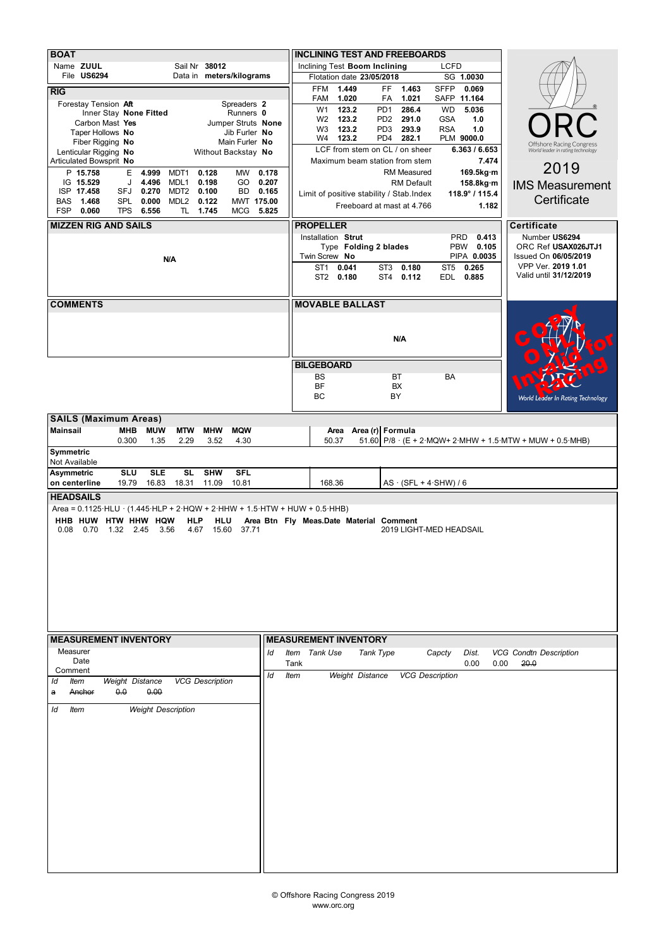| <b>BOAT</b>                                                                                                                                                                |             |                                                                  |                                   |                                                                      |  |  |  |  |  |  |  |  |
|----------------------------------------------------------------------------------------------------------------------------------------------------------------------------|-------------|------------------------------------------------------------------|-----------------------------------|----------------------------------------------------------------------|--|--|--|--|--|--|--|--|
|                                                                                                                                                                            |             | <b>INCLINING TEST AND FREEBOARDS</b>                             |                                   |                                                                      |  |  |  |  |  |  |  |  |
| Sail Nr 38012<br>Name ZUUL<br>File US6294<br>Data in meters/kilograms                                                                                                      |             | Inclining Test Boom Inclining                                    | <b>LCFD</b>                       |                                                                      |  |  |  |  |  |  |  |  |
|                                                                                                                                                                            |             | Flotation date 23/05/2018<br>1.449<br>FF.<br>1.463<br><b>FFM</b> | SG 1.0030<br><b>SFFP</b><br>0.069 |                                                                      |  |  |  |  |  |  |  |  |
| RIG                                                                                                                                                                        |             | 1.020<br>1.021<br>FAM<br>FA                                      | SAFP 11.164                       |                                                                      |  |  |  |  |  |  |  |  |
| Forestay Tension Aft<br>Spreaders 2<br>Inner Stay None Fitted<br>Runners 0                                                                                                 |             | 123.2<br>PD <sub>1</sub><br>286.4<br>W <sub>1</sub>              | <b>WD</b><br>5.036                |                                                                      |  |  |  |  |  |  |  |  |
| Carbon Mast Yes<br>Jumper Struts None                                                                                                                                      |             | 123.2<br>291.0<br>W <sub>2</sub><br>PD <sub>2</sub>              | <b>GSA</b><br>1.0                 |                                                                      |  |  |  |  |  |  |  |  |
| Taper Hollows No<br>Jib Furler No                                                                                                                                          |             | 123.2<br>W <sub>3</sub><br>PD <sub>3</sub><br>293.9              | 1.0<br><b>RSA</b>                 |                                                                      |  |  |  |  |  |  |  |  |
| Fiber Rigging No<br>Main Furler No                                                                                                                                         |             | 123.2<br>PD4<br>282.1<br>W4<br>LCF from stem on CL / on sheer    | PLM 9000.0<br>6.363 / 6.653       | <b>Offshore Racing Congress</b><br>World leader in rating technology |  |  |  |  |  |  |  |  |
| Lenticular Rigging No<br>Without Backstay No<br>Articulated Bowsprit No                                                                                                    |             | Maximum beam station from stem                                   | 7.474                             |                                                                      |  |  |  |  |  |  |  |  |
| P 15.758<br>E<br>0.128<br>MW<br>0.178<br>4.999<br>MDT1                                                                                                                     |             | RM Measured                                                      | 169.5kg·m                         | 2019                                                                 |  |  |  |  |  |  |  |  |
| IG 15.529<br>0.198<br>0.207<br>J<br>4.496<br>MDL1<br>GO                                                                                                                    |             | <b>RM Default</b>                                                | 158.8kg·m                         | <b>IMS Measurement</b>                                               |  |  |  |  |  |  |  |  |
| ISP 17.458<br>SFJ<br>0.270<br>MDT2<br>0.100<br>BD<br>0.165                                                                                                                 |             | Limit of positive stability / Stab. Index                        | 118.9° / 115.4                    | Certificate                                                          |  |  |  |  |  |  |  |  |
| <b>SPL</b><br>MDL <sub>2</sub><br>0.122<br><b>BAS</b><br>1.468<br>0.000<br>MWT 175.00<br><b>FSP</b><br>TL.<br>0.060<br><b>TPS</b><br>6.556<br>1.745<br><b>MCG</b><br>5.825 |             | Freeboard at mast at 4.766                                       | 1.182                             |                                                                      |  |  |  |  |  |  |  |  |
|                                                                                                                                                                            |             |                                                                  |                                   |                                                                      |  |  |  |  |  |  |  |  |
| <b>MIZZEN RIG AND SAILS</b>                                                                                                                                                |             | <b>PROPELLER</b>                                                 |                                   | Certificate                                                          |  |  |  |  |  |  |  |  |
|                                                                                                                                                                            |             | Installation Strut<br>Type Folding 2 blades                      | 0.413<br><b>PRD</b><br>PBW 0.105  | Number US6294<br>ORC Ref USAX026JTJ1                                 |  |  |  |  |  |  |  |  |
| N/A                                                                                                                                                                        |             | Twin Screw No                                                    | PIPA 0.0035                       | Issued On 06/05/2019                                                 |  |  |  |  |  |  |  |  |
|                                                                                                                                                                            |             | ST <sub>1</sub><br>0.041<br>ST3<br>0.180                         | ST <sub>5</sub><br>0.265          | VPP Ver. 2019 1.01                                                   |  |  |  |  |  |  |  |  |
|                                                                                                                                                                            |             | ST2 0.180<br>ST <sub>4</sub><br>0.112                            | EDL 0.885                         | Valid until 31/12/2019                                               |  |  |  |  |  |  |  |  |
|                                                                                                                                                                            |             |                                                                  |                                   |                                                                      |  |  |  |  |  |  |  |  |
| <b>COMMENTS</b>                                                                                                                                                            |             | <b>MOVABLE BALLAST</b>                                           |                                   |                                                                      |  |  |  |  |  |  |  |  |
|                                                                                                                                                                            |             |                                                                  |                                   |                                                                      |  |  |  |  |  |  |  |  |
|                                                                                                                                                                            |             |                                                                  |                                   |                                                                      |  |  |  |  |  |  |  |  |
|                                                                                                                                                                            |             | N/A                                                              |                                   |                                                                      |  |  |  |  |  |  |  |  |
|                                                                                                                                                                            |             |                                                                  |                                   |                                                                      |  |  |  |  |  |  |  |  |
|                                                                                                                                                                            |             | <b>BILGEBOARD</b>                                                |                                   |                                                                      |  |  |  |  |  |  |  |  |
|                                                                                                                                                                            |             | <b>BS</b><br>BT                                                  | <b>BA</b>                         |                                                                      |  |  |  |  |  |  |  |  |
|                                                                                                                                                                            |             | BF<br>BX                                                         |                                   |                                                                      |  |  |  |  |  |  |  |  |
|                                                                                                                                                                            |             | BC<br>BY                                                         |                                   | <b>World Leader In Rating Technology</b>                             |  |  |  |  |  |  |  |  |
| <b>SAILS (Maximum Areas)</b>                                                                                                                                               |             |                                                                  |                                   |                                                                      |  |  |  |  |  |  |  |  |
| <b>Mainsail</b><br><b>MHB</b><br><b>MUW</b><br><b>MTW</b><br><b>MHW</b><br><b>MQW</b>                                                                                      |             | Area (r) Formula<br>Area                                         |                                   |                                                                      |  |  |  |  |  |  |  |  |
| 0.300<br>1.35<br>2.29<br>4.30<br>3.52                                                                                                                                      |             | 50.37                                                            |                                   | 51.60 P/8 $\cdot$ (E + 2 MQW+ 2 MHW + 1.5 MTW + MUW + 0.5 MHB)       |  |  |  |  |  |  |  |  |
| Symmetric                                                                                                                                                                  |             |                                                                  |                                   |                                                                      |  |  |  |  |  |  |  |  |
| Not Available                                                                                                                                                              |             |                                                                  |                                   |                                                                      |  |  |  |  |  |  |  |  |
| <b>SLE</b><br><b>SL</b><br><b>SHW</b><br><b>SFL</b><br><b>Asymmetric</b><br><b>SLU</b><br>19.79<br>16.83<br>18.31<br>11.09<br>10.81<br>on centerline                       |             | 168.36                                                           |                                   |                                                                      |  |  |  |  |  |  |  |  |
| <b>HEADSAILS</b>                                                                                                                                                           |             | $AS \cdot (SFL + 4 \cdot SHW) / 6$                               |                                   |                                                                      |  |  |  |  |  |  |  |  |
| Area = $0.1125 \cdot HLU \cdot (1.445 \cdot HLP + 2 \cdot HQW + 2 \cdot HHW + 1.5 \cdot HTW + HUW + 0.5 \cdot HHB)$                                                        |             |                                                                  |                                   |                                                                      |  |  |  |  |  |  |  |  |
| HHB HUW HTW HHW HQW<br>HLP<br>HLU                                                                                                                                          |             | Area Btn Fly Meas.Date Material Comment                          |                                   |                                                                      |  |  |  |  |  |  |  |  |
| 0.08<br>0.70<br>1.32 2.45<br>3.56<br>15.60<br>37.71<br>4.67                                                                                                                |             |                                                                  |                                   |                                                                      |  |  |  |  |  |  |  |  |
|                                                                                                                                                                            |             |                                                                  |                                   | 2019 LIGHT-MED HEADSAIL                                              |  |  |  |  |  |  |  |  |
|                                                                                                                                                                            |             |                                                                  |                                   |                                                                      |  |  |  |  |  |  |  |  |
|                                                                                                                                                                            |             |                                                                  |                                   |                                                                      |  |  |  |  |  |  |  |  |
|                                                                                                                                                                            |             |                                                                  |                                   |                                                                      |  |  |  |  |  |  |  |  |
|                                                                                                                                                                            |             |                                                                  |                                   |                                                                      |  |  |  |  |  |  |  |  |
|                                                                                                                                                                            |             |                                                                  |                                   |                                                                      |  |  |  |  |  |  |  |  |
|                                                                                                                                                                            |             |                                                                  |                                   |                                                                      |  |  |  |  |  |  |  |  |
|                                                                                                                                                                            |             |                                                                  |                                   |                                                                      |  |  |  |  |  |  |  |  |
|                                                                                                                                                                            |             |                                                                  |                                   |                                                                      |  |  |  |  |  |  |  |  |
| <b>MEASUREMENT INVENTORY</b>                                                                                                                                               |             | <b>MEASUREMENT INVENTORY</b>                                     |                                   |                                                                      |  |  |  |  |  |  |  |  |
| Measurer<br>ld                                                                                                                                                             |             | Item Tank Use<br>Tank Type                                       | Capcty<br>Dist.                   | <b>VCG Condtn Description</b>                                        |  |  |  |  |  |  |  |  |
| Date                                                                                                                                                                       | Tank        |                                                                  | 0.00                              | 0.00<br>20.0                                                         |  |  |  |  |  |  |  |  |
| Comment<br>ld                                                                                                                                                              | <b>Item</b> | Weight Distance                                                  | <b>VCG Description</b>            |                                                                      |  |  |  |  |  |  |  |  |
| <b>VCG Description</b><br>Weight Distance<br><b>Item</b><br>ld                                                                                                             |             |                                                                  |                                   |                                                                      |  |  |  |  |  |  |  |  |
| 0.0<br>0.00<br>Anchor<br>a                                                                                                                                                 |             |                                                                  |                                   |                                                                      |  |  |  |  |  |  |  |  |
| <b>Weight Description</b><br>ld<br><b>Item</b>                                                                                                                             |             |                                                                  |                                   |                                                                      |  |  |  |  |  |  |  |  |
|                                                                                                                                                                            |             |                                                                  |                                   |                                                                      |  |  |  |  |  |  |  |  |
|                                                                                                                                                                            |             |                                                                  |                                   |                                                                      |  |  |  |  |  |  |  |  |
|                                                                                                                                                                            |             |                                                                  |                                   |                                                                      |  |  |  |  |  |  |  |  |
|                                                                                                                                                                            |             |                                                                  |                                   |                                                                      |  |  |  |  |  |  |  |  |
|                                                                                                                                                                            |             |                                                                  |                                   |                                                                      |  |  |  |  |  |  |  |  |
|                                                                                                                                                                            |             |                                                                  |                                   |                                                                      |  |  |  |  |  |  |  |  |
|                                                                                                                                                                            |             |                                                                  |                                   |                                                                      |  |  |  |  |  |  |  |  |
|                                                                                                                                                                            |             |                                                                  |                                   |                                                                      |  |  |  |  |  |  |  |  |
|                                                                                                                                                                            |             |                                                                  |                                   |                                                                      |  |  |  |  |  |  |  |  |
|                                                                                                                                                                            |             |                                                                  |                                   |                                                                      |  |  |  |  |  |  |  |  |
|                                                                                                                                                                            |             |                                                                  |                                   |                                                                      |  |  |  |  |  |  |  |  |
|                                                                                                                                                                            |             |                                                                  |                                   |                                                                      |  |  |  |  |  |  |  |  |